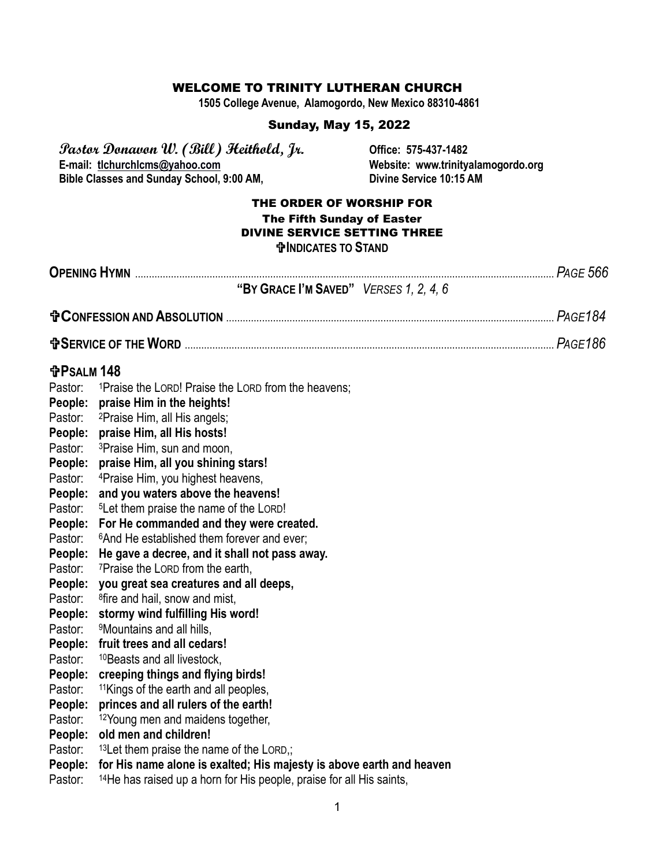#### WELCOME TO TRINITY LUTHERAN CHURCH

**1505 College Avenue, Alamogordo, New Mexico 88310-4861**

#### Sunday, May 15, 2022

**Pastor Donavon W. (Bill) Heithold, Jr. Office: 575-437-1482 Bible Classes and Sunday School, 9:00 AM,** 

Website: www.trinityalamogordo.org<br>Divine Service 10:15 AM

#### THE ORDER OF WORSHIP FOR The Fifth Sunday of Easter DIVINE SERVICE SETTING THREE **INDICATES TO STAND**

|                   | "BY GRACE I'M SAVED" VERSES 1, 2, 4, 6                                                                                                                                                                                                    |  |
|-------------------|-------------------------------------------------------------------------------------------------------------------------------------------------------------------------------------------------------------------------------------------|--|
|                   | <b>D</b> CONFESSION AND ABSOLUTION <b>with the contract of the contract of the contract of the contract of the contract of the contract of the contract of the contract of the contract of the contract of the contract of the contra</b> |  |
|                   |                                                                                                                                                                                                                                           |  |
| <b>GPSALM 148</b> |                                                                                                                                                                                                                                           |  |
| Pastor:           | <sup>1</sup> Praise the LORD! Praise the LORD from the heavens;                                                                                                                                                                           |  |
|                   | People: praise Him in the heights!                                                                                                                                                                                                        |  |
| Pastor:           | <sup>2</sup> Praise Him, all His angels;                                                                                                                                                                                                  |  |
| People:           | praise Him, all His hosts!                                                                                                                                                                                                                |  |
| Pastor:           | <sup>3</sup> Praise Him, sun and moon,                                                                                                                                                                                                    |  |
| People:           | praise Him, all you shining stars!                                                                                                                                                                                                        |  |
| Pastor:           | <sup>4</sup> Praise Him, you highest heavens,                                                                                                                                                                                             |  |
| People:           | and you waters above the heavens!                                                                                                                                                                                                         |  |
| Pastor:           | <sup>5</sup> Let them praise the name of the LORD!                                                                                                                                                                                        |  |
| People:           | For He commanded and they were created.                                                                                                                                                                                                   |  |
| Pastor:           | <sup>6</sup> And He established them forever and ever;                                                                                                                                                                                    |  |
| People:           | He gave a decree, and it shall not pass away.                                                                                                                                                                                             |  |
| Pastor:           | <sup>7</sup> Praise the LORD from the earth,                                                                                                                                                                                              |  |
| People:           | you great sea creatures and all deeps,                                                                                                                                                                                                    |  |
| Pastor:           | <sup>8</sup> fire and hail, snow and mist,                                                                                                                                                                                                |  |
| People:           | stormy wind fulfilling His word!                                                                                                                                                                                                          |  |
| Pastor:           | <sup>9</sup> Mountains and all hills,                                                                                                                                                                                                     |  |
| People:           | fruit trees and all cedars!                                                                                                                                                                                                               |  |
| Pastor:           | <sup>10</sup> Beasts and all livestock,                                                                                                                                                                                                   |  |
| People:           | creeping things and flying birds!                                                                                                                                                                                                         |  |
| Pastor:           | <sup>11</sup> Kings of the earth and all peoples,                                                                                                                                                                                         |  |
| People:           | princes and all rulers of the earth!                                                                                                                                                                                                      |  |
| Pastor:           | <sup>12</sup> Young men and maidens together,                                                                                                                                                                                             |  |
| People:           | old men and children!                                                                                                                                                                                                                     |  |
| Pastor:           | <sup>13</sup> Let them praise the name of the LORD,;                                                                                                                                                                                      |  |
| People:           | for His name alone is exalted; His majesty is above earth and heaven                                                                                                                                                                      |  |
| Pastor:           | <sup>14</sup> He has raised up a horn for His people, praise for all His saints,                                                                                                                                                          |  |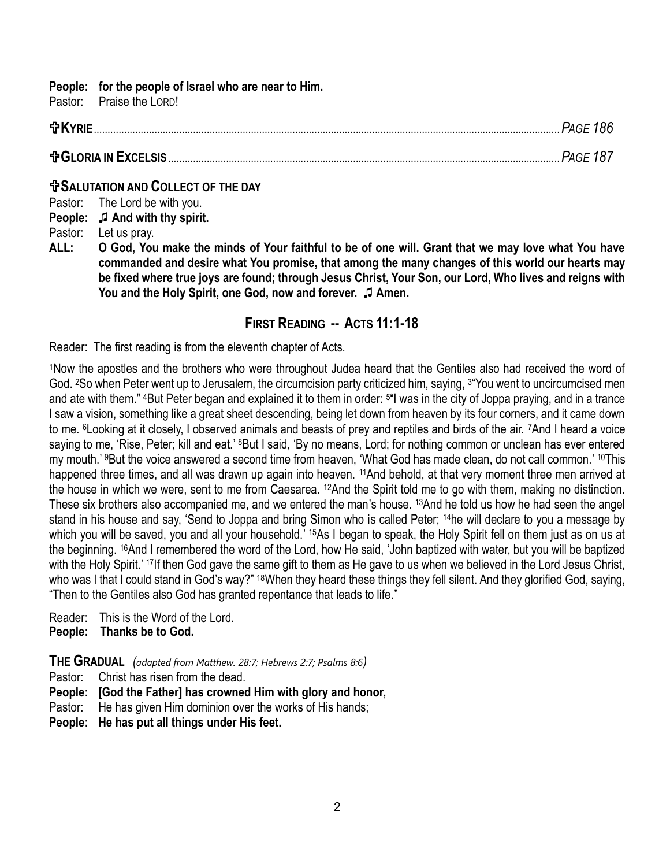#### **People: for the people of Israel who are near to Him.**

Pastor: Praise the LORD!

| <b>frKYRIE.</b> |  |
|-----------------|--|
|                 |  |

#### **COLLECT OF THE DAY**

Pastor: The Lord be with you. **People:** ♫ **And with thy spirit.** Pastor: Let us pray.

**ALL: O God, You make the minds of Your faithful to be of one will. Grant that we may love what You have commanded and desire what You promise, that among the many changes of this world our hearts may be fixed where true joys are found; through Jesus Christ, Your Son, our Lord, Who lives and reigns with You and the Holy Spirit, one God, now and forever.** ♫ **Amen.** 

## **FIRST READING -- ACTS 11:1-18**

Reader: The first reading is from the eleventh chapter of Acts.

<sup>1</sup>Now the apostles and the brothers who were throughout Judea heard that the Gentiles also had received the word of God. <sup>2</sup>So when Peter went up to Jerusalem, the circumcision party criticized him, saying, <sup>3</sup> You went to uncircumcised men and ate with them." 4But Peter began and explained it to them in order: <sup>5</sup> "I was in the city of Joppa praying, and in a trance I saw a vision, something like a great sheet descending, being let down from heaven by its four corners, and it came down to me. 6Looking at it closely, I observed animals and beasts of prey and reptiles and birds of the air. 7And I heard a voice saying to me, 'Rise, Peter; kill and eat.' <sup>8</sup>But I said, 'By no means, Lord; for nothing common or unclean has ever entered my mouth.' 9But the voice answered a second time from heaven, 'What God has made clean, do not call common.' 10This happened three times, and all was drawn up again into heaven. <sup>11</sup>And behold, at that very moment three men arrived at the house in which we were, sent to me from Caesarea. 12And the Spirit told me to go with them, making no distinction. These six brothers also accompanied me, and we entered the man's house. <sup>13</sup>And he told us how he had seen the angel stand in his house and say, 'Send to Joppa and bring Simon who is called Peter; <sup>14</sup>he will declare to you a message by which you will be saved, you and all your household.' <sup>15</sup>As I began to speak, the Holy Spirit fell on them just as on us at the beginning. 16And I remembered the word of the Lord, how He said, 'John baptized with water, but you will be baptized with the Holy Spirit.' <sup>17</sup>If then God gave the same gift to them as He gave to us when we believed in the Lord Jesus Christ, who was I that I could stand in God's way?" <sup>18</sup>When they heard these things they fell silent. And they glorified God, saying, "Then to the Gentiles also God has granted repentance that leads to life."

Reader: This is the Word of the Lord. **People: Thanks be to God.**

**THE GRADUAL** *(adapted from Matthew. 28:7; Hebrews 2:7; Psalms 8:6)*

Pastor: Christ has risen from the dead.

**People: [God the Father] has crowned Him with glory and honor,**

Pastor: He has given Him dominion over the works of His hands;

**People: He has put all things under His feet.**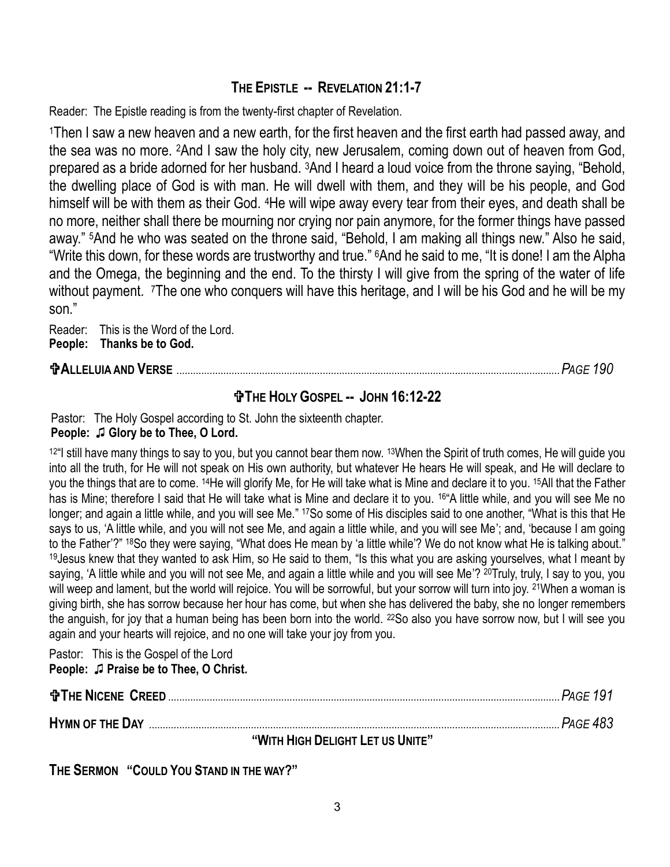# **THE EPISTLE -- REVELATION 21:1-7**

Reader: The Epistle reading is from the twenty-first chapter of Revelation.

<sup>1</sup>Then I saw a new heaven and a new earth, for the first heaven and the first earth had passed away, and the sea was no more. 2And I saw the holy city, new Jerusalem, coming down out of heaven from God, prepared as a bride adorned for her husband. 3And I heard a loud voice from the throne saying, "Behold, the dwelling place of God is with man. He will dwell with them, and they will be his people, and God himself will be with them as their God. 4He will wipe away every tear from their eyes, and death shall be no more, neither shall there be mourning nor crying nor pain anymore, for the former things have passed away." 5And he who was seated on the throne said, "Behold, I am making all things new." Also he said, "Write this down, for these words are trustworthy and true." 6And he said to me, "It is done! I am the Alpha and the Omega, the beginning and the end. To the thirsty I will give from the spring of the water of life without payment. The one who conquers will have this heritage, and I will be his God and he will be my son."

Reader: This is the Word of the Lord. **People: Thanks be to God.**

# **ALLELUIA AND VERSE** ...........................................................................................................................................*PAGE 190*

# **THE HOLY GOSPEL -- JOHN 16:12-22**

Pastor: The Holy Gospel according to St. John the sixteenth chapter.

## **People:** ♫ **Glory be to Thee, O Lord.**

<sup>12</sup> still have many things to say to you, but you cannot bear them now. <sup>13</sup>When the Spirit of truth comes, He will guide you into all the truth, for He will not speak on His own authority, but whatever He hears He will speak, and He will declare to you the things that are to come. 14He will glorify Me, for He will take what is Mine and declare it to you. 15All that the Father has is Mine; therefore I said that He will take what is Mine and declare it to you. <sup>16</sup> A little while, and you will see Me no longer; and again a little while, and you will see Me." 17So some of His disciples said to one another, "What is this that He says to us, 'A little while, and you will not see Me, and again a little while, and you will see Me'; and, 'because I am going to the Father'?" <sup>18</sup>So they were saying, "What does He mean by 'a little while'? We do not know what He is talking about." <sup>19</sup>Jesus knew that they wanted to ask Him, so He said to them, "Is this what you are asking yourselves, what I meant by saying, 'A little while and you will not see Me, and again a little while and you will see Me'? <sup>20</sup>Truly, truly, I say to you, you will weep and lament, but the world will rejoice. You will be sorrowful, but your sorrow will turn into joy. <sup>21</sup>When a woman is giving birth, she has sorrow because her hour has come, but when she has delivered the baby, she no longer remembers the anguish, for joy that a human being has been born into the world. <sup>22</sup>So also you have sorrow now, but I will see you again and your hearts will rejoice, and no one will take your joy from you.

Pastor: This is the Gospel of the Lord

#### **People:** ♫ **Praise be to Thee, O Christ.**

| <b>the NICENE CREED</b> | .Page 191 |
|-------------------------|-----------|
| <b>HYMN OF THE DAY</b>  | PAGE 483  |

**"WITH HIGH DELIGHT LET US UNITE"**

**THE SERMON "COULD YOU STAND IN THE WAY?"**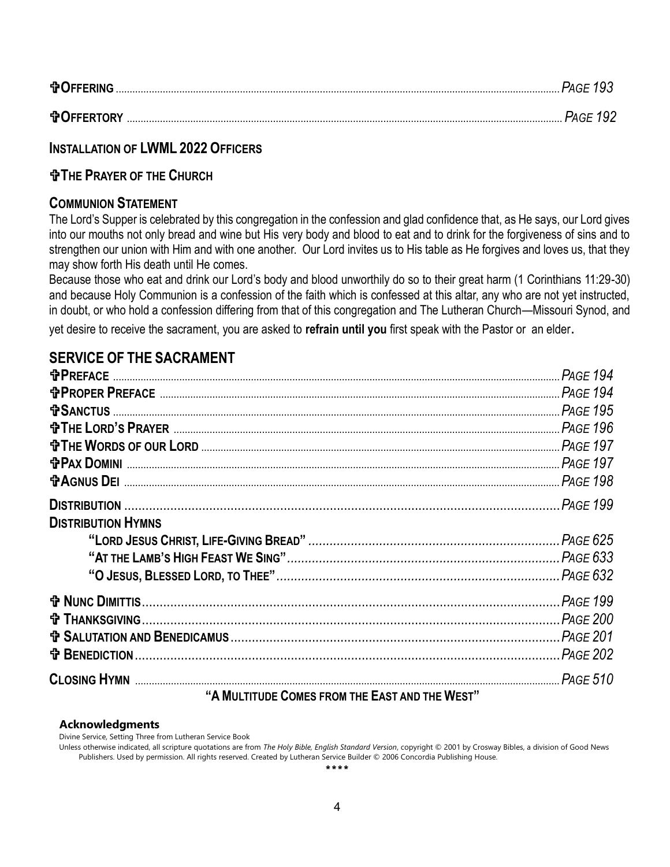| <b>DOFFERING</b> |  |
|------------------|--|
|                  |  |

# **INSTALLATION OF LWML 2022 OFFICERS**

# **THE PRAYER OF THE CHURCH**

## **COMMUNION STATEMENT**

The Lord's Supper is celebrated by this congregation in the confession and glad confidence that, as He says, our Lord gives into our mouths not only bread and wine but His very body and blood to eat and to drink for the forgiveness of sins and to strengthen our union with Him and with one another. Our Lord invites us to His table as He forgives and loves us, that they may show forth His death until He comes.

Because those who eat and drink our Lord's body and blood unworthily do so to their great harm (1 Corinthians 11:29-30) and because Holy Communion is a confession of the faith which is confessed at this altar, any who are not yet instructed, in doubt, or who hold a confession differing from that of this congregation and The Lutheran Church—Missouri Synod, and yet desire to receive the sacrament, you are asked to **refrain until you** first speak with the Pastor or an elder.

# **SERVICE OF THE SACRAMENT**

|                           | <b>PAGE 194</b> |
|---------------------------|-----------------|
|                           |                 |
|                           |                 |
|                           |                 |
|                           |                 |
| <b>tPAX DOMINI</b>        |                 |
|                           |                 |
|                           |                 |
| <b>DISTRIBUTION HYMNS</b> |                 |
|                           |                 |
|                           |                 |
|                           |                 |
|                           |                 |
|                           |                 |
|                           |                 |
|                           |                 |
|                           |                 |

#### **"AMULTITUDE COMES FROM THE EAST AND THE WEST"**

#### **Acknowledgments**

Divine Service, Setting Three from Lutheran Service Book

Unless otherwise indicated, all scripture quotations are from *The Holy Bible, English Standard Version*, copyright © 2001 by Crosway Bibles, a division of Good News Publishers. Used by permission. All rights reserved. Created by Lutheran Service Builder © 2006 Concordia Publishing House.

\*\*\*\*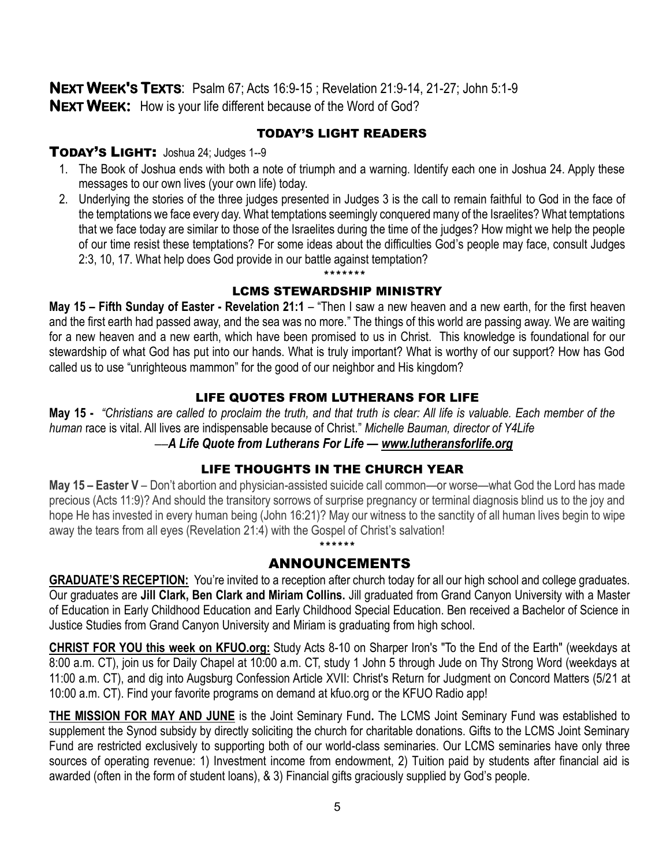**NEXT WEEK'S TEXTS**: Psalm 67; Acts 16:9-15 ; Revelation 21:9-14, 21-27; John 5:1-9 **NEXT WEEK:** How is your life different because of the Word of God?

#### TODAY'S LIGHT READERS

#### TODAY'S LIGHT: Joshua 24; Judges 1--9

- 1. The Book of Joshua ends with both a note of triumph and a warning. Identify each one in Joshua 24. Apply these messages to our own lives (your own life) today.
- 2. Underlying the stories of the three judges presented in Judges 3 is the call to remain faithful to God in the face of the temptations we face every day. What temptations seemingly conquered many of the Israelites? What temptations that we face today are similar to those of the Israelites during the time of the judges? How might we help the people of our time resist these temptations? For some ideas about the difficulties God's people may face, consult Judges 2:3, 10, 17. What help does God provide in our battle against temptation?

\*\*\*\*\*\*\*

## LCMS STEWARDSHIP MINISTRY

**May 15 – Fifth Sunday of Easter - Revelation 21:1** – "Then I saw a new heaven and a new earth, for the first heaven and the first earth had passed away, and the sea was no more." The things of this world are passing away. We are waiting for a new heaven and a new earth, which have been promised to us in Christ. This knowledge is foundational for our stewardship of what God has put into our hands. What is truly important? What is worthy of our support? How has God called us to use "unrighteous mammon" for the good of our neighbor and His kingdom?

#### LIFE QUOTES FROM LUTHERANS FOR LIFE

**May 15 -** *"Christians are called to proclaim the truth, and that truth is clear: All life is valuable. Each member of the human* race is vital. All lives are indispensable because of Christ." *Michelle Bauman, director of Y4Life* ––*A Life Quote from Lutherans For Life — [www.lutheransforlife.org](http://www.lutheransforlife.org/)*

## LIFE THOUGHTS IN THE CHURCH YEAR

**May 15 – Easter V** – Don't abortion and physician-assisted suicide call common—or worse—what God the Lord has made precious (Acts 11:9)? And should the transitory sorrows of surprise pregnancy or terminal diagnosis blind us to the joy and hope He has invested in every human being (John 16:21)? May our witness to the sanctity of all human lives begin to wipe away the tears from all eyes (Revelation 21:4) with the Gospel of Christ's salvation!

## ANNOUNCEMENTS

\*\*\*\*\*\*

**GRADUATE'S RECEPTION:** You're invited to a reception after church today for all our high school and college graduates. Our graduates are **Jill Clark, Ben Clark and Miriam Collins.** Jill graduated from Grand Canyon University with a Master of Education in Early Childhood Education and Early Childhood Special Education. Ben received a Bachelor of Science in Justice Studies from Grand Canyon University and Miriam is graduating from high school.

**CHRIST FOR YOU this week on KFUO.org:** Study Acts 8-10 on Sharper Iron's "To the End of the Earth" (weekdays at 8:00 a.m. CT), join us for Daily Chapel at 10:00 a.m. CT, study 1 John 5 through Jude on Thy Strong Word (weekdays at 11:00 a.m. CT), and dig into Augsburg Confession Article XVII: Christ's Return for Judgment on Concord Matters (5/21 at 10:00 a.m. CT). Find your favorite programs on demand at kfuo.org or the KFUO Radio app!

**THE MISSION FOR MAY AND JUNE** is the Joint Seminary Fund**.** The LCMS Joint Seminary Fund was established to supplement the Synod subsidy by directly soliciting the church for charitable donations. Gifts to the LCMS Joint Seminary Fund are restricted exclusively to supporting both of our world-class seminaries. Our LCMS seminaries have only three sources of operating revenue: 1) Investment income from endowment, 2) Tuition paid by students after financial aid is awarded (often in the form of student loans), & 3) Financial gifts graciously supplied by God's people.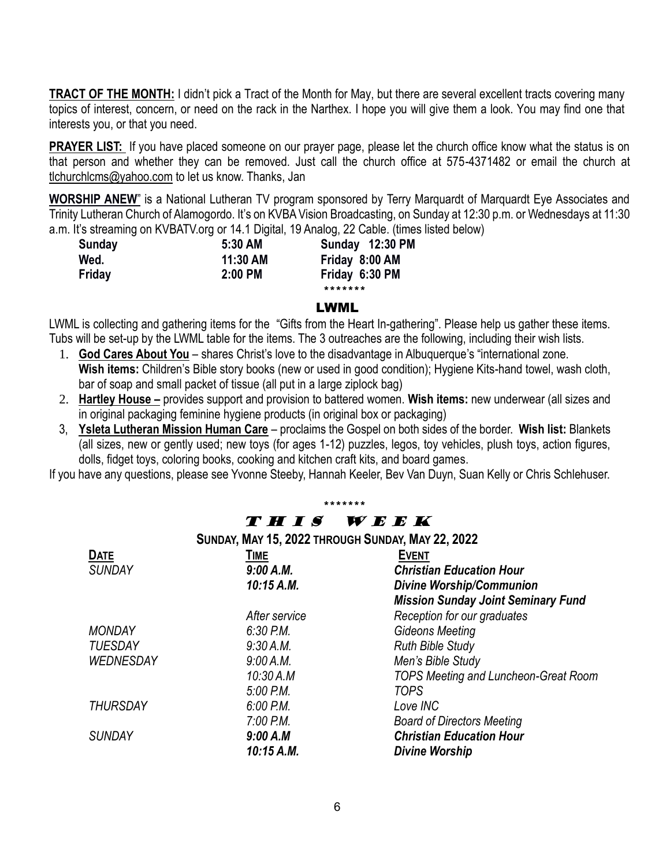**TRACT OF THE MONTH:** I didn't pick a Tract of the Month for May, but there are several excellent tracts covering many topics of interest, concern, or need on the rack in the Narthex. I hope you will give them a look. You may find one that interests you, or that you need.

**PRAYER LIST:** If you have placed someone on our prayer page, please let the church office know what the status is on that person and whether they can be removed. Just call the church office at 575-4371482 or email the church at [tlchurchlcms@yahoo.com](mailto:tlchurchlcms@yahoo.com) to let us know. Thanks, Jan

**WORSHIP ANEW**" is a National Lutheran TV program sponsored by Terry Marquardt of Marquardt Eye Associates and Trinity Lutheran Church of Alamogordo. It's on KVBA Vision Broadcasting, on Sunday at 12:30 p.m. or Wednesdays at 11:30 a.m. It's streaming on KVBATV.org or 14.1 Digital, 19 Analog, 22 Cable. (times listed below)

| Sunday | 5:30 AM   | Sunday 12:30 PM |
|--------|-----------|-----------------|
| Wed.   | 11:30 AM  | Friday 8:00 AM  |
| Friday | $2:00$ PM | Friday 6:30 PM  |
|        |           | *******         |

#### LWML

LWML is collecting and gathering items for the "Gifts from the Heart In-gathering". Please help us gather these items. Tubs will be set-up by the LWML table for the items. The 3 outreaches are the following, including their wish lists.

- 1. **God Cares About You** shares Christ's love to the disadvantage in Albuquerque's "international zone. **Wish items:** Children's Bible story books (new or used in good condition); Hygiene Kits-hand towel, wash cloth, bar of soap and small packet of tissue (all put in a large ziplock bag)
- 2. **Hartley House –** provides support and provision to battered women. **Wish items:** new underwear (all sizes and in original packaging feminine hygiene products (in original box or packaging)
- 3, **Ysleta Lutheran Mission Human Care** proclaims the Gospel on both sides of the border. **Wish list:** Blankets (all sizes, new or gently used; new toys (for ages 1-12) puzzles, legos, toy vehicles, plush toys, action figures, dolls, fidget toys, coloring books, cooking and kitchen craft kits, and board games.

If you have any questions, please see Yvonne Steeby, Hannah Keeler, Bev Van Duyn, Suan Kelly or Chris Schlehuser.

#### \*\*\*\*\*\*\* T H I S W E E K

**SUNDAY, MAY 15, 2022 THROUGH SUNDAY, MAY 22, 2022**

| <b>DATE</b>      | <b>TIME</b>   | <b>EVENT</b>                              |
|------------------|---------------|-------------------------------------------|
| <b>SUNDAY</b>    | 9:00 A.M.     | <b>Christian Education Hour</b>           |
|                  | 10:15 A.M.    | <b>Divine Worship/Communion</b>           |
|                  |               | <b>Mission Sunday Joint Seminary Fund</b> |
|                  | After service | Reception for our graduates               |
| <b>MONDAY</b>    | $6:30$ P.M.   | <b>Gideons Meeting</b>                    |
| <b>TUESDAY</b>   | 9:30 A.M.     | <b>Ruth Bible Study</b>                   |
| <b>WEDNESDAY</b> | 9:00 A.M.     | Men's Bible Study                         |
|                  | 10:30 A.M     | TOPS Meeting and Luncheon-Great Room      |
|                  | $5:00$ P.M.   | <b>TOPS</b>                               |
| <b>THURSDAY</b>  | $6:00$ P.M.   | Love INC                                  |
|                  | $7:00$ P.M.   | <b>Board of Directors Meeting</b>         |
| <b>SUNDAY</b>    | 9:00 A.M      | <b>Christian Education Hour</b>           |
|                  | 10:15 A.M.    | <b>Divine Worship</b>                     |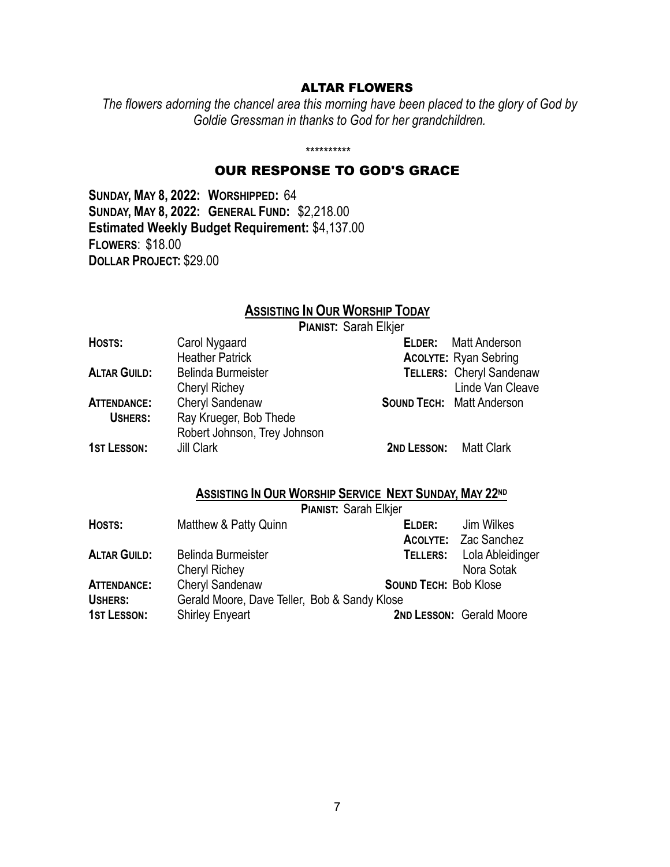#### ALTAR FLOWERS

*The flowers adorning the chancel area this morning have been placed to the glory of God by Goldie Gressman in thanks to God for her grandchildren.*

#### *\*\*\*\*\*\*\*\*\*\**

## OUR RESPONSE TO GOD'S GRACE

**SUNDAY, MAY 8, 2022: WORSHIPPED:** 64 **SUNDAY, MAY 8, 2022: GENERAL FUND:** \$2,218.00 **Estimated Weekly Budget Requirement:** \$4,137.00 **FLOWERS**: \$18.00 **DOLLAR PROJECT:** \$29.00

# **ASSISTING IN OUR WORSHIP TODAY**

**PIANIST:** Sarah Elkjer

| HOSTS:              | Carol Nygaard                | <b>ELDER:</b> Matt Anderson      |
|---------------------|------------------------------|----------------------------------|
|                     | <b>Heather Patrick</b>       | <b>ACOLYTE: Ryan Sebring</b>     |
| <b>ALTAR GUILD:</b> | Belinda Burmeister           | <b>TELLERS: Cheryl Sandenaw</b>  |
|                     | <b>Cheryl Richey</b>         | Linde Van Cleave                 |
| <b>ATTENDANCE:</b>  | Cheryl Sandenaw              | <b>SOUND TECH: Matt Anderson</b> |
| USHERS:             | Ray Krueger, Bob Thede       |                                  |
|                     | Robert Johnson, Trey Johnson |                                  |
| <b>1ST LESSON:</b>  | Jill Clark                   | 2ND LESSON: Matt Clark           |

# **ASSISTING IN OUR WORSHIP SERVICE NEXT SUNDAY, MAY 22ND**

|                     |                                              | <b>PIANIST: Sarah Elkjer</b> |                                  |  |
|---------------------|----------------------------------------------|------------------------------|----------------------------------|--|
| HOSTS:              | Matthew & Patty Quinn                        | ELDER:                       | Jim Wilkes                       |  |
|                     |                                              |                              | <b>ACOLYTE: Zac Sanchez</b>      |  |
| <b>ALTAR GUILD:</b> | <b>Belinda Burmeister</b>                    |                              | <b>TELLERS:</b> Lola Ableidinger |  |
|                     | Cheryl Richey                                |                              | Nora Sotak                       |  |
| <b>ATTENDANCE:</b>  | <b>Cheryl Sandenaw</b>                       |                              | <b>SOUND TECH: Bob Klose</b>     |  |
| USHERS:             | Gerald Moore, Dave Teller, Bob & Sandy Klose |                              |                                  |  |
| <b>1ST LESSON:</b>  | <b>Shirley Enyeart</b>                       |                              | 2ND LESSON: Gerald Moore         |  |